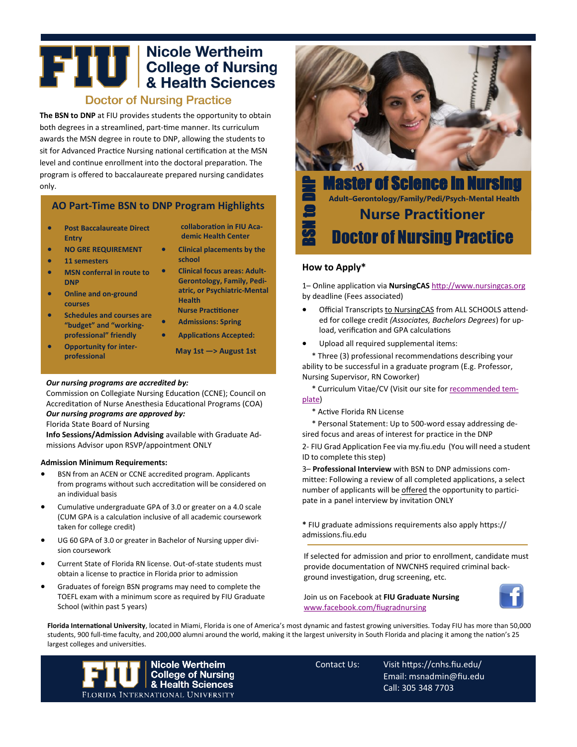# **THE College of Nursing<br>A Realth Sciences**

# **Doctor of Nursing Practice**

**The BSN to DNP** at FIU provides students the opportunity to obtain both degrees in a streamlined, part-time manner. Its curriculum awards the MSN degree in route to DNP, allowing the students to sit for Advanced Practice Nursing national certification at the MSN level and continue enrollment into the doctoral preparation. The program is offered to baccalaureate prepared nursing candidates only.

## **AO Part-Time BSN to DNP Program Highlights**

- **Post Baccalaureate Direct Entry**
- **NO GRE REQUIREMENT**
- **11 semesters**
- **MSN conferral in route to DNP**
- **Online and on-ground courses**
- **Schedules and courses are "budget" and "workingprofessional" friendly**
- **Opportunity for interprofessional**
- **collaboration in FIU Academic Health Center**
- **Clinical placements by the school**
- **Clinical focus areas: Adult-Gerontology, Family, Pediatric, or Psychiatric-Mental Health Nurse Practitioner**
- **Admissions: Spring**
- **Applications Accepted:**
	- **May 1st —> August 1st**

#### *Our nursing programs are accredited by:*

Commission on Collegiate Nursing Education (CCNE); Council on Accreditation of Nurse Anesthesia Educational Programs (COA)

#### *Our nursing programs are approved by:* Florida State Board of Nursing

**Info Sessions/Admission Advising** available with Graduate Admissions Advisor upon RSVP/appointment ONLY

#### **Admission Minimum Requirements:**

- BSN from an ACEN or CCNE accredited program. Applicants from programs without such accreditation will be considered on an individual basis
- Cumulative undergraduate GPA of 3.0 or greater on a 4.0 scale (CUM GPA is a calculation inclusive of all academic coursework taken for college credit)
- UG 60 GPA of 3.0 or greater in Bachelor of Nursing upper division coursework
- Current State of Florida RN license. Out-of-state students must obtain a license to practice in Florida prior to admission
- Graduates of foreign BSN programs may need to complete the TOEFL exam with a minimum score as required by FIU Graduate School (within past 5 years)



Master of Science in Nursing **Adult–Gerontology/Family/Pedi/Psych-Mental Health Nurse Practitioner** BSN to DNP Doctor of Nursing Practice

### **How to Apply\***

1– Online application via **NursingCAS** http://www.nursingcas.org by deadline (Fees associated)

- Official Transcripts to NursingCAS from ALL SCHOOLS attended for college credit *(Associates, Bachelors Degrees*) for upload, verification and GPA calculations
- Upload all required supplemental items:

\* Three (3) professional recommendations describing your ability to be successful in a graduate program (E.g. Professor, Nursing Supervisor, RN Coworker)

\* Curriculum Vitae/CV (Visit our site for recommended template)

\* Active Florida RN License

\* Personal Statement: Up to 500-word essay addressing desired focus and areas of interest for practice in the DNP

2- FIU Grad Application Fee via my.fiu.edu (You will need a student ID to complete this step)

3– **Professional Interview** with BSN to DNP admissions committee: Following a review of all completed applications, a select number of applicants will be offered the opportunity to participate in a panel interview by invitation ONLY

**\*** FIU graduate admissions requirements also apply https:// admissions.fiu.edu

If selected for admission and prior to enrollment, candidate must provide documentation of NWCNHS required criminal background investigation, drug screening, etc.

Join us on Facebook at **FIU Graduate Nursing**  [www.facebook.com/fiugradnursing](http://www.facebook.com/fiugradnursing)



**Florida International University**, located in Miami, Florida is one of America's most dynamic and fastest growing universities. Today FIU has more than 50,000 students, 900 full-time faculty, and 200,000 alumni around the world, making it the largest university in South Florida and placing it among the nation's 25 largest colleges and universities.



Contact Us: Visit https://cnhs.fiu.edu/ Email: msnadmin@fiu.edu Call: 305 348 7703